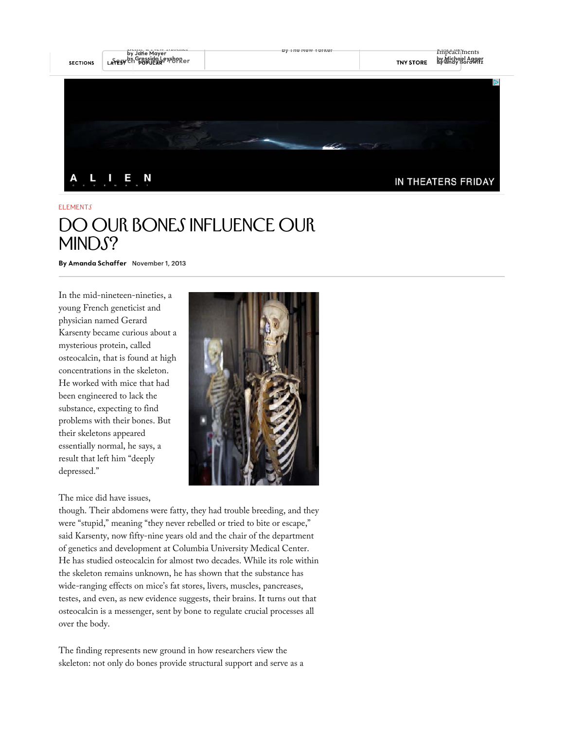

## **ELEMENTS** DO OUR BONES INFLUENCE OUR MINDS?

By Amanda Schaffer November 1, 2013

In the mid-nineteen-nineties, a young French geneticist and physician named Gerard Karsenty became curious about a mysterious protein, called osteocalcin, that is found at high concentrations in the skeleton. He worked with mice that had been engineered to lack the substance, expecting to find problems with their bones. But their skeletons appeared essentially normal, he says, a result that left him "deeply depressed."

## The mice did have issues,



though. Their abdomens were fatty, they had trouble breeding, and they were "stupid," meaning "they never rebelled or tried to bite or escape," said Karsenty, now fifty-nine years old and the chair of the department of genetics and development at Columbia University Medical Center. He has studied osteocalcin for almost two decades. While its role within the skeleton remains unknown, he has shown that the substance has wide-ranging effects on mice's fat stores, livers, muscles, pancreases, testes, and even, as new evidence suggests, their brains. It turns out that osteocalcin is a messenger, sent by bone to regulate crucial processes all over the body.

The finding represents new ground in how researchers view the skeleton: not only do bones provide structural support and serve as a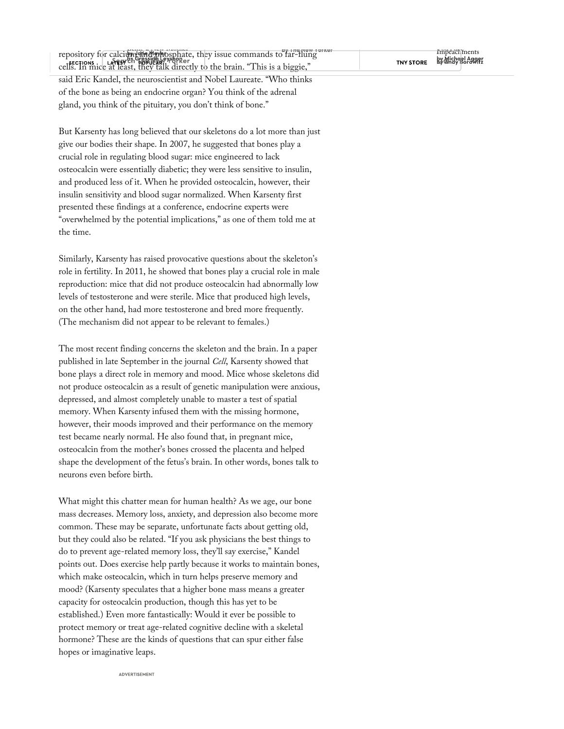repository for calci<del>um and phosphate</del>, they issue commands to far-flung and the new Assessments of the Impeachments sections. LARESTRIN BESTURE THEY CHE cells. In mice at least, they talk directly to the brain. "This is a biggie," said Eric Kandel, the neuroscientist and Nobel Laureate. "Who thinks of the bone as being an endocrine organ? You think of the adrenal gland, you think of the pituitary, you don't think of bone."

But Karsenty has long believed that our skeletons do a lot more than just give our bodies their shape. In 2007, he suggested that bones play a crucial role in regulating blood sugar: mice engineered to lack osteocalcin were essentially diabetic; they were less sensitive to insulin, and produced less of it. When he provided osteocalcin, however, their insulin sensitivity and blood sugar normalized. When Karsenty first presented these findings at a conference, endocrine experts were "overwhelmed by the potential implications," as one of them told me at the time.

Similarly, Karsenty has raised provocative questions about the skeleton's role in fertility. In 2011, he showed that bones play a crucial role in male reproduction: mice that did not produce osteocalcin had abnormally low levels of testosterone and were sterile. Mice that produced high levels, on the other hand, had more testosterone and bred more frequently. (The mechanism did not appear to be relevant to females.)

The most recent finding concerns the skeleton and the brain. In a paper published in late September in the journal *Cell*, Karsenty showed that bone plays a direct role in memory and mood. Mice whose skeletons did not produce osteocalcin as a result of genetic manipulation were anxious, depressed, and almost completely unable to master a test of spatial memory. When Karsenty infused them with the missing hormone, however, their moods improved and their performance on the memory test became nearly normal. He also found that, in pregnant mice, osteocalcin from the mother's bones crossed the placenta and helped shape the development of the fetus's brain. In other words, bones talk to neurons even before birth.

What might this chatter mean for human health? As we age, our bone mass decreases. Memory loss, anxiety, and depression also become more common. These may be separate, unfortunate facts about getting old, but they could also be related. "If you ask physicians the best things to do to prevent age-related memory loss, they'll say exercise," Kandel points out. Does exercise help partly because it works to maintain bones, which make osteocalcin, which in turn helps preserve memory and mood? (Karsenty speculates that a higher bone mass means a greater capacity for osteocalcin production, though this has yet to be established.) Even more fantastically: Would it ever be possible to protect memory or treat age-related cognitive decline with a skeletal hormone? These are the kinds of questions that can spur either false hopes or imaginative leaps.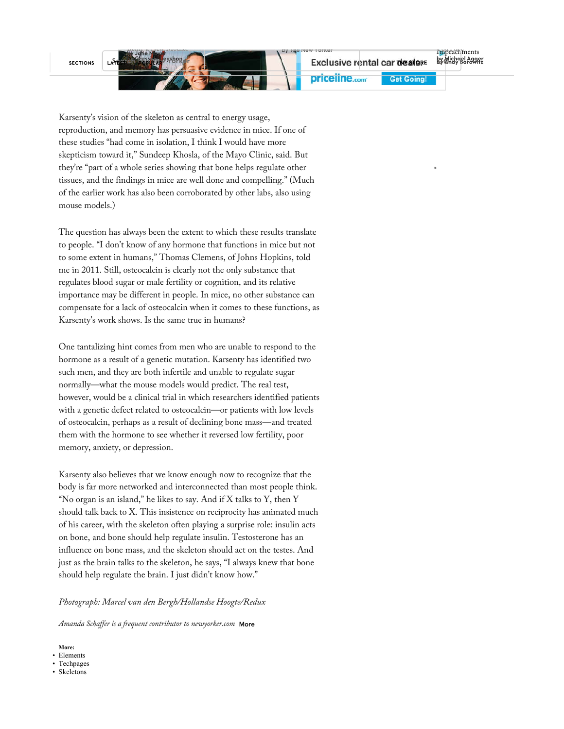**SECTIONS** 

priceline.com

**Get Going!** 

Karsenty's vision of the skeleton as central to energy usage, reproduction, and memory has persuasive evidence in mice. If one of these studies "had come in isolation, I think I would have more skepticism toward it," Sundeep Khosla, of the Mayo Clinic, said. But they're "part of a whole series showing that bone helps regulate other tissues, and the findings in mice are well done and compelling." (Much of the earlier work has also been corroborated by other labs, also using mouse models.)

The question has always been the extent to which these results translate to people. "I don't know of any hormone that functions in mice but not to some extent in humans," Thomas Clemens, of Johns Hopkins, told me in 2011. Still, osteocalcin is clearly not the only substance that regulates blood sugar or male fertility or cognition, and its relative importance may be different in people. In mice, no other substance can compensate for a lack of osteocalcin when it comes to these functions, as Karsenty's work shows. Is the same true in humans?

One tantalizing hint comes from men who are unable to respond to the hormone as a result of a genetic mutation. Karsenty has identified two such men, and they are both infertile and unable to regulate sugar normally—what the mouse models would predict. The real test, however, would be a clinical trial in which researchers identified patients with a genetic defect related to osteocalcin—or patients with low levels of osteocalcin, perhaps as a result of declining bone mass—and treated them with the hormone to see whether it reversed low fertility, poor memory, anxiety, or depression.

Karsenty also believes that we know enough now to recognize that the body is far more networked and interconnected than most people think. "No organ is an island," he likes to say. And if  $X$  talks to  $Y$ , then  $Y$ should talk back to X. This insistence on reciprocity has animated much of his career, with the skeleton often playing a surprise role: insulin acts on bone, and bone should help regulate insulin. Testosterone has an influence on bone mass, and the skeleton should act on the testes. And just as the brain talks to the skeleton, he says, "I always knew that bone should help regulate the brain. I just didn't know how."

## *Photograph: Marcel van den Bergh/Hollandse Hoogte/Redux*

*Amanda Schaffer is a frequent contributor to newyorker.com*

**More:**

- Elements • Techpages
- Skeletons